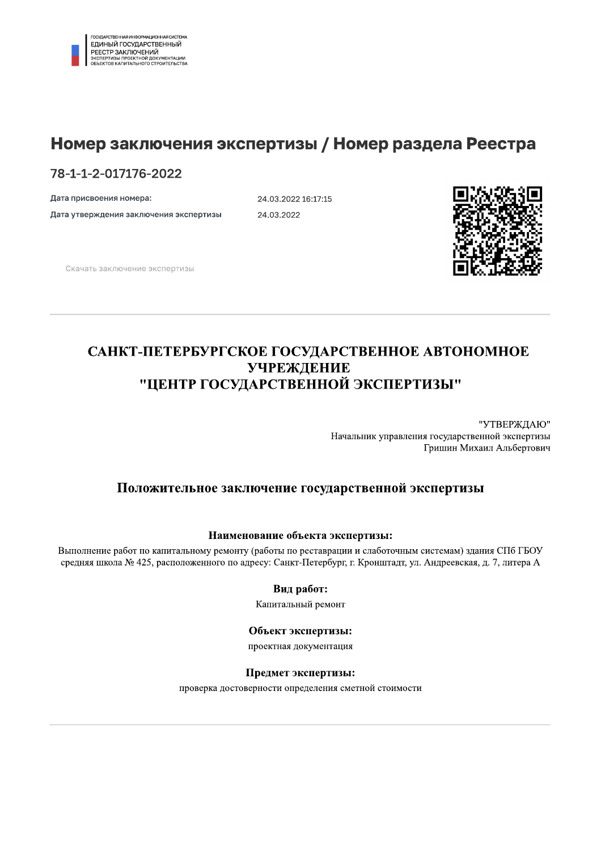

#### Номер заключения экспертизы / Номер раздела Реестра

78-1-1-2-017176-2022

Дата присвоения номера:

Дата утверждения заключения экспертизы

24.03.2022 16:17:15 24.03.2022



Скачать заключение экспертизы

#### САНКТ-ПЕТЕРБУРГСКОЕ ГОСУДАРСТВЕННОЕ АВТОНОМНОЕ **УЧРЕЖДЕНИЕ** "ЦЕНТР ГОСУДАРСТВЕННОЙ ЭКСПЕРТИЗЫ"

"УТВЕРЖДАЮ" Начальник управления государственной экспертизы Гришин Михаил Альбертович

#### Положительное заключение государственной экспертизы

#### Наименование объекта экспертизы:

Выполнение работ по капитальному ремонту (работы по реставрации и слаботочным системам) здания СПб ГБОУ средняя школа № 425, расположенного по адресу: Санкт-Петербург, г. Кронштадт, ул. Андреевская, д. 7, литера А

#### Вид работ:

Капитальный ремонт

#### Объект экспертизы:

проектная документация

#### Предмет экспертизы:

проверка достоверности определения сметной стоимости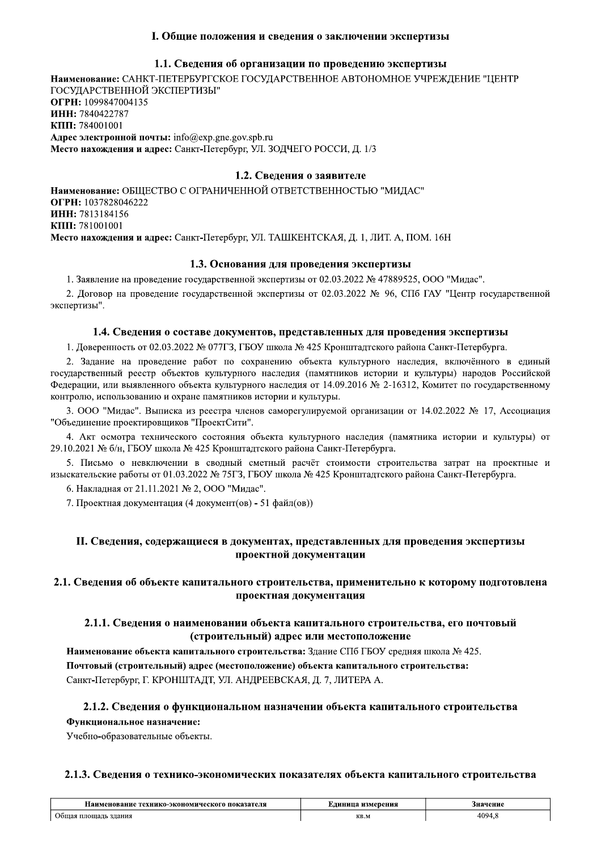#### 1.1. Сведения об организации по проведению экспертизы

Наименование: САНКТ-ПЕТЕРБУРГСКОЕ ГОСУДАРСТВЕННОЕ АВТОНОМНОЕ УЧРЕЖДЕНИЕ "ЦЕНТР ГОСУДАРСТВЕННОЙ ЭКСПЕРТИЗЫ" ОГРН: 1099847004135 ИНН: 7840422787 КПП: 784001001 Адрес электронной почты: info@exp.gne.gov.spb.ru Место нахождения и адрес: Санкт-Петербург, УЛ. ЗОДЧЕГО РОССИ, Д. 1/3

#### 1.2. Сведения о заявителе

Наименование: ОБЩЕСТВО С ОГРАНИЧЕННОЙ ОТВЕТСТВЕННОСТЬЮ "МИДАС" ОГРН: 1037828046222 ИНН: 7813184156 КПП: 781001001 Место нахождения и адрес: Санкт-Петербург, УЛ. ТАШКЕНТСКАЯ, Д. 1, ЛИТ. А, ПОМ. 16Н

#### 1.3. Основания для проведения экспертизы

1. Заявление на проведение государственной экспертизы от 02.03.2022 № 47889525, ООО "Мидас".

2. Договор на проведение государственной экспертизы от 02.03.2022 № 96, СПб ГАУ "Центр государственной экспертизы".

#### 1.4. Сведения о составе документов, представленных для проведения экспертизы

1. Доверенность от 02.03.2022 № 077ГЗ, ГБОУ школа № 425 Кронштадтского района Санкт-Петербурга.

2. Задание на проведение работ по сохранению объекта культурного наследия, включённого в единый государственный реестр объектов культурного наследия (памятников истории и культуры) народов Российской Федерации, или выявленного объекта культурного наследия от 14.09.2016 № 2-16312, Комитет по государственному контролю, использованию и охране памятников истории и культуры.

3. ООО "Мидас". Выписка из реестра членов саморегулируемой организации от 14.02.2022 № 17, Ассоциация "Объединение проектировщиков "ПроектСити".

4. Акт осмотра технического состояния объекта культурного наследия (памятника истории и культуры) от 29.10.2021 № б/н, ГБОУ школа № 425 Кронштадтского района Санкт-Петербурга.

5. Письмо о невключении в сволный сметный расчёт стоимости строительства затрат на проектные и изыскательские работы от 01.03.2022 № 75ГЗ, ГБОУ школа № 425 Кронштадтского района Санкт-Петербурга.

6. Накладная от 21.11.2021 № 2, ООО "Мидас".

7. Проектная документация (4 документ(ов) - 51 файл(ов))

#### II. Сведения, содержащиеся в документах, представленных для проведения экспертизы проектной документации

#### 2.1. Сведения об объекте капитального строительства, применительно к которому подготовлена проектная документация

#### 2.1.1. Сведения о наименовании объекта капитального строительства, его почтовый (строительный) адрес или местоположение

Наименование объекта капитального строительства: Здание СПб ГБОУ средняя школа № 425. Почтовый (строительный) адрес (местоположение) объекта капитального строительства: Санкт-Петербург, Г. КРОНШТАДТ, УЛ. АНДРЕЕВСКАЯ, Д. 7, ЛИТЕРА А.

#### 2.1.2. Сведения о функциональном назначении объекта капитального строительства

#### Функциональное назначение:

Учебно-образовательные объекты.

#### 2.1.3. Сведения о технико-экономических показателях объекта капитального строительства

| теля<br>.<br>-новяни<br>00<br>יי<br>,,,,,<br>. . |      | н и |
|--------------------------------------------------|------|-----|
| $\sim$ $\sim$<br>'ош.<br>∙дания<br>плошаль       | KB.M | 100 |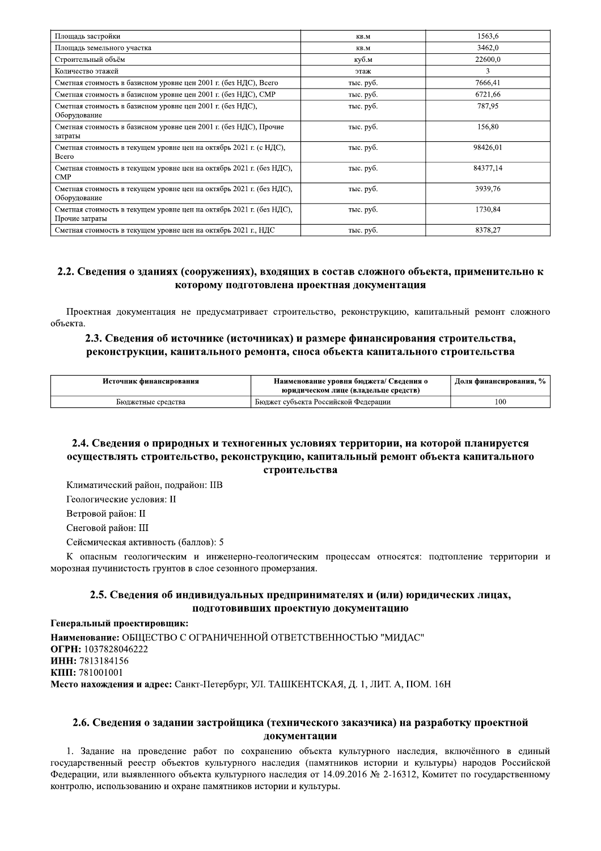| Площадь застройки                                                                      | KB.M      | 1563,6   |
|----------------------------------------------------------------------------------------|-----------|----------|
| Площадь земельного участка                                                             | KB.M      | 3462,0   |
| Строительный объём                                                                     | куб.м     | 22600,0  |
| Количество этажей                                                                      | этаж      | 3        |
| Сметная стоимость в базисном уровне цен 2001 г. (без НДС), Всего                       | тыс. руб. | 7666,41  |
| Сметная стоимость в базисном уровне цен 2001 г. (без НДС), СМР                         | тыс. руб. | 6721,66  |
| Сметная стоимость в базисном уровне цен 2001 г. (без НДС),<br>Оборудование             | тыс. руб. | 787.95   |
| Сметная стоимость в базисном уровне цен 2001 г. (без НДС), Прочие<br>затраты           | тыс. руб. | 156,80   |
| Сметная стоимость в текущем уровне цен на октябрь 2021 г. (с НДС),<br>Всего            | тыс. руб. | 98426,01 |
| Сметная стоимость в текущем уровне цен на октябрь 2021 г. (без НДС),<br><b>CMP</b>     | тыс. руб. | 84377,14 |
| Сметная стоимость в текущем уровне цен на октябрь 2021 г. (без НДС),<br>Оборудование   | тыс. руб. | 3939,76  |
| Сметная стоимость в текущем уровне цен на октябрь 2021 г. (без НДС),<br>Прочие затраты | тыс. руб. | 1730,84  |
| Сметная стоимость в текущем уровне цен на октябрь 2021 г., НДС                         | тыс. руб. | 8378.27  |

#### 2.2. Сведения о зданиях (сооружениях), входящих в состав сложного объекта, применительно к **КОТОРОМУ ПОДГОТОВЛЕНА ПРОЕКТНАЯ ДОКУМЕНТАЦИЯ**

#### 2.3. Сведения об источнике (источниках) и размере финансирования строительства, реконструкции, капитального ремонта, сноса объекта капитального строительства

| Сметная стоимость в текущем уровне цен на октябрь 2021 г., НДС                                                  | тыс. руб.                                                                       | 8378,27                |
|-----------------------------------------------------------------------------------------------------------------|---------------------------------------------------------------------------------|------------------------|
|                                                                                                                 |                                                                                 |                        |
| 2.2. Сведения о зданиях (сооружениях), входящих в состав сложного объекта, применительно к                      |                                                                                 |                        |
|                                                                                                                 |                                                                                 |                        |
|                                                                                                                 | которому подготовлена проектная документация                                    |                        |
| Проектная документация не предусматривает строительство, реконструкцию, капитальный ремонт сложного<br>объекта. |                                                                                 |                        |
|                                                                                                                 |                                                                                 |                        |
|                                                                                                                 | 2.3. Сведения об источнике (источниках) и размере финансирования строительства, |                        |
|                                                                                                                 |                                                                                 |                        |
|                                                                                                                 |                                                                                 |                        |
| реконструкции, капитального ремонта, сноса объекта капитального строительства                                   |                                                                                 |                        |
|                                                                                                                 |                                                                                 |                        |
| Источник финансирования                                                                                         | Наименование уровня бюджета/ Сведения о<br>юридическом лице (владельце средств) | Доля финансирования, % |

## 2.4. Сведения о природных и техногенных условиях территории, на которой планируется осуществлять строительство, реконструкцию, капитальный ремонт объекта капитального строительства Ведженые средены<br>
2.4. Сведения о природных и техноге<br>
осуществлять строительство, реконст<br>
Климатический район, подрайон: IIB<br>
Геологический район, подрайон: IIB<br>
Геологические условия: II<br>
Сейсмическая активность (балло осуществлять с прительство,<br>
симперительство,<br>
Климатический район, подрайон: IIE<br>
Геологические условия: II<br>
Ветровой район: II<br>
Снеговой район: III<br>
Сейсмическая активность (баллов): :<br>
К опасным геологическим и ини<br>
мо

Климатический район, подрайон: IIB

I еологические услов

ровои раион: П

Снеговои раион

ивность (оаллов): 5

к опасным геологическим и инженерно-геологическим процессам относятся: подтопление территории и морозная пучинистость грунтов в слое сезонного пром

# ЛЬСТВА<br>КИМ Процессам относятся: подтопление терния.<br>**ИНИМАТЕЛЯХ И (ИЛИ) ЮРИДИЧЕСКИХ ЛИЦ?**<br>СТВЕННОСТЬЮ "МИДАС" ства<br>
и процессам относятся: подтопление терри<br>
.<br> **имателях и (или) юридических лицах,**<br>
ую д**окументацию**<br>ВЕННОСТЬЮ "МИДАС"

Климатический район, подр<br>
Геологические условия: II<br>
Ветровой район: II<br>
Снеговой район: III<br>
Сейсмическая активность ((<br>
К опасным геологическим<br>
морозная пучинистость грунтов<br>
2.5. Сведения об и<br>
Генеральный проектиров " 45. Климатический район, подрайон: IIB<br>
Геологические условия: II<br>
Ветровой район: III<br>
Сейсмическая активность (баллов): 5<br>
К опасным геологическим и инженерно-геологическим процессам относятся: подтопление террито<br>
мо KIII: 781001001 **Место нахождения и адрес:** Санкт-Петербург, УЛ. ТАШКЕНТСКАЯ, Д. I, ЛИТ. A, ПОМ. 16Н

#### 2.6. Сведения о задании застройщика (технического заказчика) на разработку проектной документации

1. Задание на проведение раоот по сохранению ооъекта культурного наследия, включенного в единыи АЯ, Д. 1, ЛИТ. А, ПОМ. 16Н<br>**v** з**аказчика) на разработку проектной**<br>**и**<br>культурного наследия, включённого в ед<br>ников истории и культуры) народов Россий<br>.09.2016 № 2-16312, Комитет по государствены. государственныи реестр объектов культурного наследия (памятников истории и культуры) народов Россиискои т-Петербург, УЛ. ТАШКЕНТСКАЯ, Д. 1, ЛИТ. А, ПОМ<br>**застройщика (технического заказчика) на ра**<br>д**окументации**<br>работ по сохранению объекта культурного наслед<br>в культурного наследия (памятников истории и ку<br>кта культурного н Место нахождения и адрес: Санкт-Петерб<br>2.6. Сведения о задании застрой<br>1. Задание на проведение работ по<br>государственный реестр объектов культу<br>Федерации, или выявленного объекта куль<br>контролю, использованию и охране памя го объекта культурного наследия от 14.09.2016 № 2-16312, Комитет по государственному Петербург, УЛ. ТАШКЕНТСКАЯ, Д. 1, ЛИТ. А<br> **астройщика (технического заказчика)** в документации<br>
бот по сохранению объекта культурного н<br>
культурного наследия (памятников истории<br>
та культурного наследия от 14.09.2016 № 2 контролю, использованию и охране памятников истории и культуры. ения о задании застройщика (техничес:<br>документа<br>документа<br>и проведение работ по сохранению объек<br>и рестр объектов культурного наследия (па<br>выявленного объекта культурного наследия от<br>ньзованию и охране памятников истории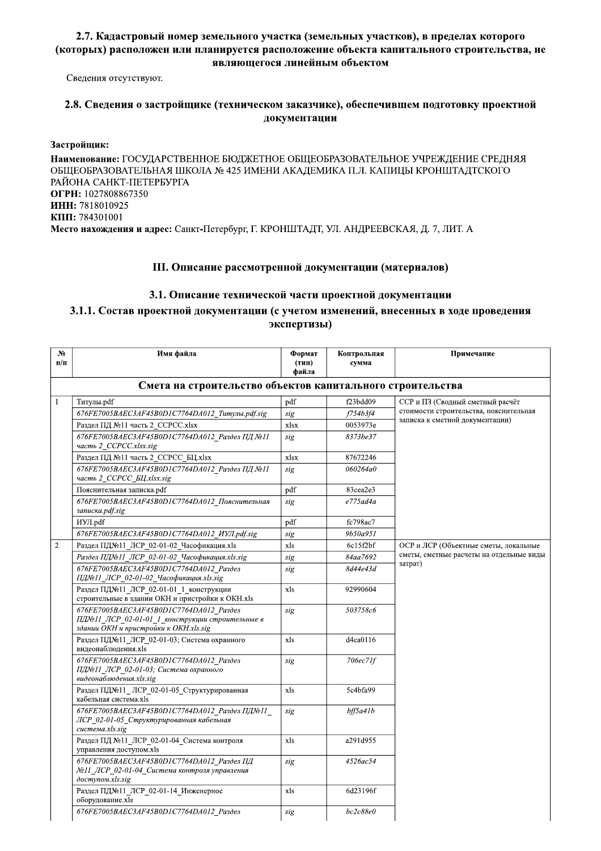#### 2.7. Кадастровый номер земельного участка (земельных участков), в пределах которого (которых) расположен или планируется расположение объекта капитального строительства, не являющегося линейным объектом

Сведения отсутствуют.

#### 2.8. Сведения о застройщике (техническом заказчике), обеспечившем подготовку проектной документации

#### Застройщик:

Наименование: ГОСУДАРСТВЕННОЕ БЮДЖЕТНОЕ ОБЩЕОБРАЗОВАТЕЛЬНОЕ УЧРЕЖДЕНИЕ СРЕДНЯЯ ОБЩЕОБРАЗОВАТЕЛЬНАЯ ШКОЛА № 425 ИМЕНИ АКАДЕМИКА П.Л. КАПИЦЫ КРОНШТАДТСКОГО РАЙОНА САНКТ-ПЕТЕРБУРГА ОГРН: 1027808867350 ИНН: 7818010925 КПП: 784301001 Место нахождения и адрес: Санкт-Петербург, Г. КРОНШТАДТ, УЛ. АНДРЕЕВСКАЯ, Д. 7, ЛИТ. А

#### III. Описание рассмотренной документации (материалов)

#### 3.1. Описание технической части проектной документации

#### 3.1.1. Состав проектной документации (с учетом изменений, внесенных в ходе проведения экспертизы)

| N <sub>2</sub><br>п/п | Имя файла                                                                                                                           | Формат<br>(тип)<br>файла | Контрольная<br>сумма | Примечание                               |
|-----------------------|-------------------------------------------------------------------------------------------------------------------------------------|--------------------------|----------------------|------------------------------------------|
|                       | Смета на строительство объектов капитального строительства                                                                          |                          |                      |                                          |
| $\mathbf{1}$          | Титулы.pdf                                                                                                                          | pdf                      | f23bdd09             | ССР и ПЗ (Сводный сметный расчёт         |
|                       | 676FE7005BAEC3AF45B0D1C7764DA012_Титулы.pdf.sig                                                                                     | sig                      | f754b3f4             | стоимости строительства, пояснительная   |
|                       | Раздел ПД №11 часть 2 ССРСС. xlsx                                                                                                   | xlsx                     | 0053973e             | записка к сметной документации)          |
|                       | 676FE7005BAEC3AF45B0D1C7764DA012_Раздел ПД №11<br>часть 2 CCPCC.xlsx.sig                                                            | sig                      | 8373be37             |                                          |
|                       | Раздел ПД №11 часть 2_ССРСС_БЦ. xlsx                                                                                                | xlsx                     | 87672246             |                                          |
|                       | 676FE7005BAEC3AF45B0D1C7764DA012 Раздел ПД №11<br>часть 2_CCPCC_БЦ.xlsx.sig                                                         | sig                      | 060264a0             |                                          |
|                       | Пояснительная записка.pdf                                                                                                           | pdf                      | 83cea2e3             |                                          |
|                       | 676FE7005BAEC3AF45B0D1C7764DA012_Пояснительная<br>записка.pdf.sig                                                                   | $\it sig$                | e775ad4a             |                                          |
|                       | ИУЛ.pdf                                                                                                                             | pdf                      | fc798ac7             |                                          |
|                       |                                                                                                                                     | sig                      | 9b50a951             |                                          |
| $\overline{c}$        | Раздел ПД№11_ЛСР_02-01-02_Часофикация.xls                                                                                           | xls                      | 6c15f2bf             | ОСР и ЛСР (Объектные сметы, локальные    |
|                       | Раздел ПД№11_ЛСР_02-01-02_Часофикация.xls.sig                                                                                       | sig                      | 84aa7692             | сметы, сметные расчеты на отдельные виды |
|                       | 676FE7005BAEC3AF45B0D1C7764DA012 Раздел<br>ПД№11 ЛСР 02-01-02 Часофикация.xls.sig                                                   | sig                      | 8d44e43d             | затрат)                                  |
|                       | Раздел ПД№11 ЛСР 02-01-01 1 конструкции<br>строительные в здании ОКН и пристройки к OKH.xls                                         | xls                      | 92990604             |                                          |
|                       | 676FE7005BAEC3AF45B0D1C7764DA012 Раздел<br>ПД№11_ЛСР_02-01-01_1_конструкции строительные в<br>здании ОКН и пристройки к OKH.xls.sig | sig                      | 503758c6             |                                          |
|                       | Раздел ПД№11 ЛСР 02-01-03; Система охранного<br>видеонаблюдения.xls                                                                 | xls                      | d4ca0116             |                                          |
|                       | 676FE7005BAEC3AF45B0D1C7764DA012_Раздел<br>ПД№11_ЛСР_02-01-03; Система охранного<br>видеонаблюдения.xls.sig                         | sig                      | 706ec71f             |                                          |
|                       | Раздел ПД№11_ ЛСР_02-01-05_Структурированная<br>кабельная система.xls                                                               | xls                      | 5c4bfa99             |                                          |
|                       | 676FE7005BAEC3AF45B0D1C7764DA012_Раздел ПД№11_<br>ЛСР 02-01-05 Структурированная кабельная<br>cucmema.xls.sig                       | sig                      | bf5a41b              |                                          |
|                       | Раздел ПД №11_ЛСР_02-01-04_Система контроля<br>управления доступом.xls                                                              | xls                      | a291d955             |                                          |
|                       | 676FE7005BAEC3AF45B0D1C7764DA012_Раздел ПД<br>№11 ЛСР 02-01-04 Система контроля управления<br>доступом.xls.sig                      | sig                      | 4526ac54             |                                          |
|                       | Раздел ПД№11 ЛСР 02-01-14 Инженерное<br>оборудование.xls                                                                            | xls                      | 6d23196f             |                                          |
|                       | 676FE7005BAEC3AF45B0D1C7764DA012 Раздел                                                                                             | sig                      | bc2c88e0             |                                          |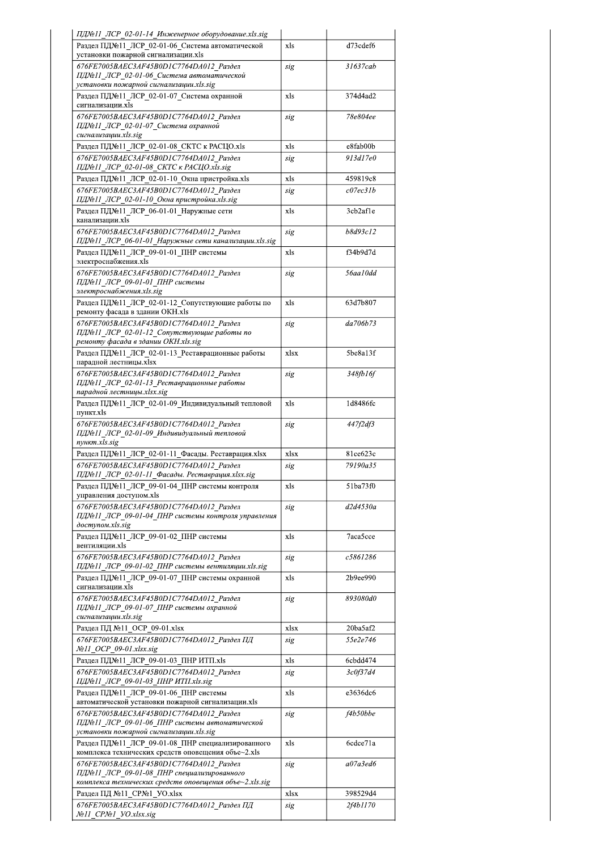| ПД№11 ЛСР 02-01-14 Инженерное оборудование.xls.sig                                                                                  |      |            |
|-------------------------------------------------------------------------------------------------------------------------------------|------|------------|
| Раздел ПД№11 ЛСР 02-01-06 Система автоматической<br>установки пожарной сигнализации.xls                                             | xls  | d73cdef6   |
| 676FE7005BAEC3AF45B0D1C7764DA012 Раздел<br>ПД№11 ЛСР 02-01-06 Система автоматической<br>установки пожарной сигнализации.xls.sig     | sig  | 31637cab   |
| Раздел ПД№11 ЛСР 02-01-07 Система охранной<br>сигнализации.xls                                                                      | xls  | 374d4ad2   |
| 676FE7005BAEC3AF45B0D1C7764DA012 Раздел<br>ПД№11 ЛСР 02-01-07 Система охранной                                                      | sig  | 78e804ee   |
| сигнализации.xls.sig<br>Раздел ПД№11 ЛСР 02-01-08 СКТС к РАСЦО.xls                                                                  | xls  | e8fab00b   |
| 676FE7005BAEC3AF45B0D1C7764DA012 Раздел                                                                                             | sig  | 913d17e0   |
| ПД№11 ЛСР 02-01-08 СКТС к PACЦO.xls.sig                                                                                             |      |            |
| Раздел ПД№11 ЛСР 02-01-10 Окна пристройка.xls                                                                                       | xls  | 459819c8   |
| 676FE7005BAEC3AF45B0D1C7764DA012 Раздел<br>ПД№11_ЛСР_02-01-10_Окна пристройка.xls.sig                                               | sig  | c07ec31b   |
| Раздел ПД№11 ЛСР 06-01-01 Наружные сети<br>канализации.xls                                                                          | xls  | 3cb2af1e   |
| 676FE7005BAEC3AF45B0D1C7764DA012 Раздел<br>ПД№11 ЛСР 06-01-01 Наружные сети канализации.xls.sig                                     | sig  | b8d93c12   |
| Раздел ПД№11 ЛСР 09-01-01 ПНР системы<br>электроснабжения.xls                                                                       | xls  | f34b9d7d   |
| 676FE7005BAEC3AF45B0D1C7764DA012 Раздел<br>ПД№11 ЛСР 09-01-01 ПНР системы                                                           | sig  | 56aa10dd   |
| электроснабжения.xls.sig<br>Раздел ПД№11 ЛСР 02-01-12 Сопутствующие работы по                                                       | xls  | 63d7b807   |
| ремонту фасада в здании OKH.xls<br>676FE7005BAEC3AF45B0D1C7764DA012 Раздел                                                          | sig  | da706b73   |
| ПД№11 ЛСР 02-01-12 Сопутствующие работы по<br>ремонту фасада в здании OKH.xls.sig                                                   |      |            |
| Раздел ПД№11_ЛСР_02-01-13_Реставрационные работы<br>парадной лестницы.xlsx                                                          | xlsx | 5be8a13f   |
| 676FE7005BAEC3AF45B0D1C7764DA012 Раздел<br>ПД№11 ЛСР 02-01-13 Реставрационные работы                                                | sig  | 348fb16f   |
| парадной лестницы.xlsx.sig<br>Раздел ПД№11_ЛСР_02-01-09_Индивидуальный тепловой<br>пункт.xls                                        | xls  | 1d8486fc   |
| 676FE7005BAEC3AF45B0D1C7764DA012 Раздел<br>ПД№11 ЛСР 02-01-09 Индивидуальный тепловой<br>nyнкm.xls.sig                              | sig  | 447f2df3   |
| Раздел ПД№11 ЛСР 02-01-11 Фасады. Реставрация.xlsx                                                                                  | xlsx | 81ce623c   |
| 676FE7005BAEC3AF45B0D1C7764DA012 Раздел<br>ПД№11 ЛСР 02-01-11 Фасады. Реставрация.xlsx.sig                                          | sig  | 79190a35   |
| Раздел ПД№11_ЛСР_09-01-04_ПНР системы контроля<br>управления доступом.xls                                                           | xls  | 51ba73f0   |
| 676FE7005BAEC3AF45B0D1C7764DA012 Раздел<br>ПД№11 ЛСР_09-01-04_ПНР системы контроля управления<br>доступом.xls.sig                   | sig  | d2d4530a   |
| Раздел ПД№11 ЛСР 09-01-02 ПНР системы<br>вентиляции.xls                                                                             | xls  | 7aca5cce   |
| 676FE7005BAEC3AF45B0D1C7764DA012 Раздел<br>ПД№11_ЛСР_09-01-02_ПНР системы вентиляции.xls.sig                                        | sig  | c5861286   |
| Раздел ПД№11 ЛСР 09-01-07 ПНР системы охранной<br>сигнализации.xls                                                                  | xls  | 2b9ee990   |
| 676FE7005BAEC3AF45B0D1C7764DA012 Раздел<br>ПД№11 ЛСР 09-01-07 ПНР системы охранной                                                  | sig  | 893080d0   |
| сигнализации.xls.sig<br>Раздел ПД №11 ОСР 09-01.xlsx                                                                                | xlsx | $20ba5af2$ |
| 676FE7005BAEC3AF45B0D1C7764DA012 Раздел ПД<br>Noll OCP 09-01.xlsx.sig                                                               | sig  | 55e2e746   |
| Раздел ПД№11 ЛСР 09-01-03 ПНР ИТП.xls                                                                                               | xls  | 6cbdd474   |
| 676FE7005BAEC3AF45B0D1C7764DA012 Раздел<br>ПД№11_ЛСР_09-01-03_ПНР ИТП.xls.sig                                                       | sig  | 3c0f37d4   |
| Раздел ПД№11 ЛСР 09-01-06 ПНР системы<br>автоматической установки пожарной сигнализации.xls                                         | xls  | e3636dc6   |
| 676FE7005BAEC3AF45B0D1C7764DA012 Раздел<br>ПД№11 ЛСР 09-01-06 ПНР системы автоматической<br>установки пожарной сигнализации.xls.sig | sig  | f4b50bbe   |
| Раздел ПД№11 ЛСР 09-01-08 ПНР специализированного<br>комплекса технических средств оповещения объе~2.xls                            | xls  | 6cdce71a   |
| 676FE7005BAEC3AF45B0D1C7764DA012 Раздел<br>ПД№11 ЛСР 09-01-08 ПНР специализированного                                               | sig  | a07a3ed6   |
| комплекса технических средств оповещения объе~2.xls.sig<br>Раздел ПД №11 СР№1 УО.xlsx                                               | xlsx | 398529d4   |
| 676FE7005BAEC3AF45B0D1C7764DA012 Раздел ПД                                                                                          | sig  | 2f4b1170   |
| No11 CPNo1 VO.xlsx.sig                                                                                                              |      |            |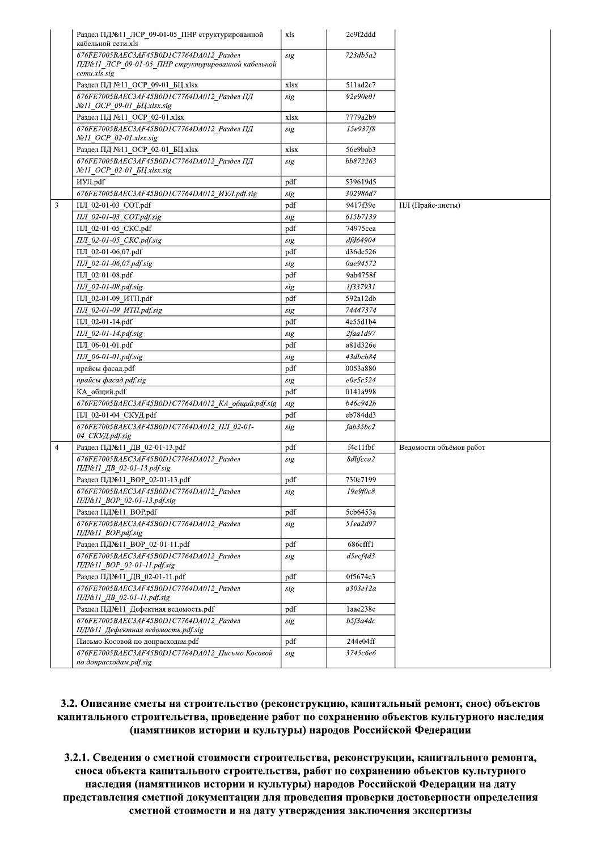|                | Раздел ПД№11 ЛСР 09-01-05 ПНР структурированной<br>кабельной сети.xls                                         | xls  | 2c9f2ddd |                         |
|----------------|---------------------------------------------------------------------------------------------------------------|------|----------|-------------------------|
|                | 676FE7005BAEC3AF45B0D1C7764DA012_Раздел<br>ПД№11 ЛСР 09-01-05 ПНР структурированной кабельной<br>cemu.xls.sig | sig  | 723db5a2 |                         |
|                | Раздел ПД №11 ОСР 09-01 БЦ.хlsx                                                                               | xlsx | 511ad2c7 |                         |
|                | 676FE7005BAEC3AF45B0D1C7764DA012_Раздел ПД<br>No11_OCP_09-01_ELL.xlsx.sig                                     | sig  | 92e90e01 |                         |
|                | Раздел ПД №11 ОСР 02-01.xlsx                                                                                  | xlsx | 7779a2b9 |                         |
|                | 676FE7005BAEC3AF45B0D1C7764DA012 Раздел ПД<br>No11_OCP_02-01.xlsx.sig                                         | sig  | 15e937f8 |                         |
|                | Раздел ПД №11 ОСР 02-01 БЦ.хlsx                                                                               | xlsx | 56e9bab3 |                         |
|                | 676FE7005BAEC3AF45B0D1C7764DA012 Раздел ПД<br>No11_OCP_02-01_ELLxlsx.sig                                      | sig  | bb872263 |                         |
|                | $M$ $M$ .pdf                                                                                                  | pdf  | 539619d5 |                         |
|                | 676FE7005BAEC3AF45B0D1C7764DA012_HVJI.pdf.sig                                                                 | sig  | 302986d7 |                         |
| 3              | ПЛ 02-01-03 COT.pdf                                                                                           | pdf  | 9417f39e | ПЛ (Прайс-листы)        |
|                | IIJI 02-01-03 COT.pdf.sig                                                                                     | sig  | 615b7139 |                         |
|                | ПЛ 02-01-05 CKC.pdf                                                                                           | pdf  | 74975cea |                         |
|                | IIJI 02-01-05 CKC.pdf.sig                                                                                     | sig  | dfd64904 |                         |
|                | ПЛ 02-01-06,07.pdf                                                                                            | pdf  | d36dc526 |                         |
|                | IIJI 02-01-06,07.pdf.sig                                                                                      | sig  | 0ae94572 |                         |
|                | ПЛ 02-01-08.pdf                                                                                               | pdf  | 9ab4758f |                         |
|                | $\overline{I}J\overline{I}$ 02-01-08.pdf.sig                                                                  | sig  | 1f337931 |                         |
|                | ПЛ 02-01-09 ИТП.pdf                                                                                           | pdf  | 592a12db |                         |
|                | TIJI_02-01-09_HTII.pdf.sig                                                                                    | sig  | 74447374 |                         |
|                | ПЛ 02-01-14.pdf                                                                                               | pdf  | 4c55d1b4 |                         |
|                | IIJI 02-01-14.pdf.sig                                                                                         | sig  | 2faa1d97 |                         |
|                | $\Pi$ $\Pi$ 06-01-01.pdf                                                                                      | pdf  | a81d326e |                         |
|                | $\overline{I}J\overline{I}$ 06-01-01.pdf.sig                                                                  | sig  | 43dbcb84 |                         |
|                | прайсы фасад.pdf                                                                                              | pdf  | 0053a880 |                         |
|                | прайсы фасад.pdf.sig                                                                                          | sig  | e0e5c524 |                         |
|                | КА общий.pdf                                                                                                  | pdf  | 0141a998 |                         |
|                | 676FE7005BAEC3AF45B0D1C7764DA012 KA oбщий.pdf.sig                                                             | sig  | b46c942b |                         |
|                | ПЛ 02-01-04 СКУД.pdf                                                                                          | pdf  | eb784dd3 |                         |
|                | 676FE7005BAEC3AF45B0D1C7764DA012 ПЛ 02-01-<br>04 CKV/L.pdf.sig                                                | sig  | fab35bc2 |                         |
| $\overline{4}$ | Раздел ПД№11 ДВ 02-01-13.pdf                                                                                  | pdf  | f4c11fbf | Ведомости объёмов работ |
|                | 676FE7005BAEC3AF45B0D1C7764DA012 Раздел<br>ПД№11 ДВ 02-01-13.pdf.sig                                          | sig  | 8dbfcca2 |                         |
|                | Раздел ПД№11_ВОР_02-01-13.pdf                                                                                 | pdf  | 730c7199 |                         |
|                | 676FE7005BAEC3AF45B0D1C7764DA012 Раздел<br>ПД№11_BOP_02-01-13.pdf.sig                                         | sig  | 19e9f0c8 |                         |
|                | Раздел ПД№11_BOP.pdf                                                                                          | pdf  | 5cb6453a |                         |
|                | 676FE7005BAEC3AF45B0D1C7764DA012 Раздел<br>ПД№11 BOP.pdf.sig                                                  | sig  | 51ea2d97 |                         |
|                | Раздел ПД№11 ВОР 02-01-11.pdf                                                                                 | pdf  | 686cfff1 |                         |
|                | 676FE7005BAEC3AF45B0D1C7764DA012 Pasden<br>ПД№11_BOP_02-01-11.pdf.sig                                         | sig  | d5ecf4d3 |                         |
|                | Раздел ПД№11 ДВ 02-01-11.pdf                                                                                  | pdf  | 0f5674c3 |                         |
|                | 676FE7005BAEC3AF45B0D1C7764DA012_Раздел<br>ПД№11_ДВ_02-01-11.pdf.sig                                          | sig  | a303e12a |                         |
|                | Раздел ПД№11 Дефектная ведомость.pdf                                                                          | pdf  | laae238e |                         |
|                | 676FE7005BAEC3AF45B0D1C7764DA012 Раздел<br>ПД№11 Дефектная ведомость.pdf.sig                                  | sig  | b5f3a4dc |                         |
|                | Письмо Косовой по допрасходам.pdf                                                                             | pdf  | 244e04ff |                         |
|                | 676FE7005BAEC3AF45B0D1C7764DA012_Письмо Косовой<br>no допрасходам.pdf.sig                                     | sig  | 3745с6е6 |                         |

3.2. Описание сметы на строительство (реконструкцию, капитальный ремонт, снос) объектов капитального строительства, проведение работ по сохранению объектов культурного наследия (памятников истории и культуры) народов Российской Федерации

3.2.1. Сведения о сметной стоимости строительства, реконструкции, капитального ремонта, сноса объекта капитального строительства, работ по сохранению объектов культурного наследия (памятников истории и культуры) народов Российской Федерации на дату представления сметной документации для проведения проверки достоверности определения сметной стоимости и на дату утверждения заключения экспертизы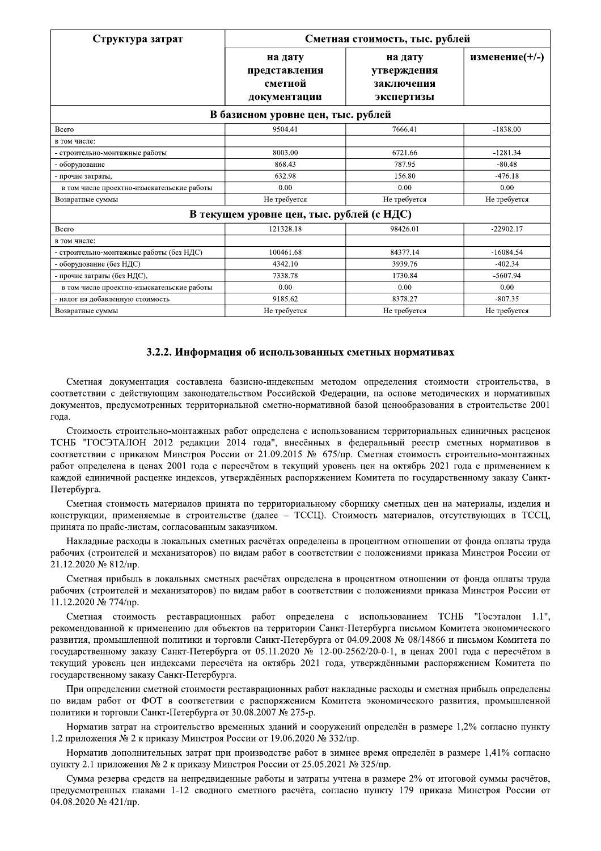| Структура затрат                           | Сметная стоимость, тыс. рублей                      |                                                    |                   |
|--------------------------------------------|-----------------------------------------------------|----------------------------------------------------|-------------------|
|                                            | на дату<br>представления<br>сметной<br>документации | на дату<br>утверждения<br>заключения<br>экспертизы | изменение $(+/-)$ |
|                                            | В базисном уровне цен, тыс. рублей                  |                                                    |                   |
| Всего                                      | 9504.41                                             | 7666.41                                            | $-1838.00$        |
| в том числе:                               |                                                     |                                                    |                   |
| - строительно-монтажные работы             | 8003.00                                             | 6721.66                                            | $-1281.34$        |
| - оборудование                             | 868.43                                              | 787.95                                             | $-80.48$          |
| - прочие затраты,                          | 632.98                                              | 156.80                                             | $-476.18$         |
| в том числе проектно-изыскательские работы | 0.00                                                | 0.00                                               | 0.00              |
| Возвратные суммы                           | Не требуется                                        | Не требуется                                       | Не требуется      |
|                                            | В текущем уровне цен, тыс. рублей (с НДС)           |                                                    |                   |
| Всего                                      | 121328.18                                           | 98426.01                                           | $-22902.17$       |
| в том числе:                               |                                                     |                                                    |                   |
| строительно-монтажные работы (без НДС)     | 100461.68                                           | 84377.14                                           | $-16084.54$       |
| оборудование (без НДС)                     | 4342.10                                             | 3939.76                                            | $-402.34$         |
| - прочие затраты (без НДС),                | 7338.78                                             | 1730.84                                            | $-5607.94$        |
| в том числе проектно-изыскательские работы | 0.00                                                | 0.00                                               | 0.00              |
| - налог на добавленную стоимость           | 9185.62                                             | 8378.27                                            | $-807.35$         |
| Возвратные суммы                           | Не требуется                                        | Не требуется                                       | Не требуется      |

#### формация оо использованных сметных нормативах

Сметная документация составлена базисно-индексным методом определения стоимости строительства, в соответствии с действующим законодательством Российской Федерации, на основе методических и нормативных<br>документов, предусмотренных территориальной сметно-нормативной базой ценообразования в строительстве 2001

3.2.2. Информация об использованных сметных нормативах<br>Cметная документация составлена базисно-индексным методом определения стоимости строительства, в<br>соответствии с действующим законодательством Российской Федерации, н Сения жероменнико состивлен область подавили менунии сидентов и подавили и подавили и состивления и состивления подавили с подавили подавили с подавили подавили с подавили подавили с подавили подавили с подавили подавили

текущий уровень цен индексами пересчёта на октябрь 2021 года, утверждёнными распоряжением Комитета по погудартвенному заказу Санкт-Петербурга.<br>При определении сметной стоимости реставрационных работ накладные расходы и см При определении сметной стоимости реставрационных работ накладные расходы и сметная прибыль определены<br>по видам работ от ФОТ в соответствии с распоряжением Комитета экономического развития, промышленной<br>политики и торго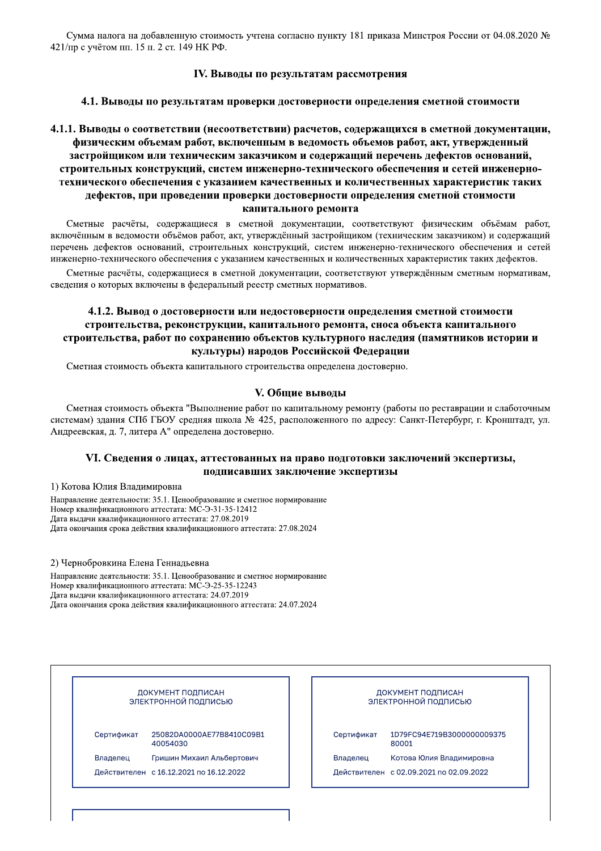Сумма налога на добавленную стоимость учтена согласно пункту 181 приказа Минстроя России от 04.08.2020 № 421/пр с учётом пп. 15 п. 2 ст. 149 НК РФ.

#### **IV. Выводы по результатам рассмотрения**

#### 4.1. Выводы по результатам проверки достоверности определения сметной стоимости

4.1.1. Выводы о соответствии (несоответствии) расчетов, содержащихся в сметной документации, физическим объемам работ, включенным в ведомость объемов работ, акт, утвержденный застройщиком или техническим заказчиком и содержащий перечень дефектов оснований, строительных конструкций, систем инженерно-технического обеспечения и сетей инженернотехнического обеспечения с указанием качественных и количественных характеристик таких дефектов, при проведении проверки достоверности определения сметной стоимости капитального ремонта

Сметные расчёты, содержащиеся в сметной документации, соответствуют физическим объёмам работ, включённым в ведомости объёмов работ, акт, утверждённый застройщиком (техническим заказчиком) и содержащий перечень дефектов оснований, строительных конструкций, систем инженерно-технического обеспечения и сетей инженерно-технического обеспечения с указанием качественных и количественных характеристик таких дефектов.

Сметные расчёты, содержащиеся в сметной документации, соответствуют утверждённым сметным нормативам, сведения о которых включены в федеральный реестр сметных нормативов.

#### 4.1.2. Вывод о достоверности или недостоверности определения сметной стоимости строительства, реконструкции, капитального ремонта, сноса объекта капитального строительства, работ по сохранению объектов культурного наследия (памятников истории и культуры) народов Российской Федерации

Сметная стоимость объекта капитального строительства определена достоверно.

#### V. Общие выводы

Сметная стоимость объекта "Выполнение работ по капитальному ремонту (работы по реставрации и слаботочным системам) здания СПб ГБОУ средняя школа № 425, расположенного по адресу: Санкт-Петербург, г. Кронштадт, ул. Андреевская, д. 7, литера А" определена достоверно.

#### VI. Сведения о лицах, аттестованных на право подготовки заключений экспертизы, полписавших заключение экспертизы

#### 1) Котова Юлия Владимировна

Направление деятельности: 35.1. Ценообразование и сметное нормирование Номер квалификационного аттестата: МС-Э-31-35-12412 Дата выдачи квалификационного аттестата: 27.08.2019 Дата окончания срока действия квалификационного аттестата: 27.08.2024

#### 2) Чернобровкина Елена Геннадьевна

Направление деятельности: 35.1. Ценообразование и сметное нормирование Номер квалификационного аттестата: МС-Э-25-35-12243 Дата выдачи квалификационного аттестата: 24.07.2019 Дата окончания срока действия квалификационного аттестата: 24.07.2024

#### ДОКУМЕНТ ПОДПИСАН электронной подписью

| Сертификат | 25082DA0000AE77B8410C09B1<br>40054030   |
|------------|-----------------------------------------|
| Владелец   | Гришин Михаил Альбертович               |
|            | Действителен с 16.12.2021 по 16.12.2022 |

#### ДОКУМЕНТ ПОДПИСАН электронной подписью

| Сертификат | 1D79FC94E719B3000000009375<br>80001     |
|------------|-----------------------------------------|
| Владелец   | Котова Юлия Владимировна                |
|            | Лействителен с 02 09 2021 по 02 09 2022 |